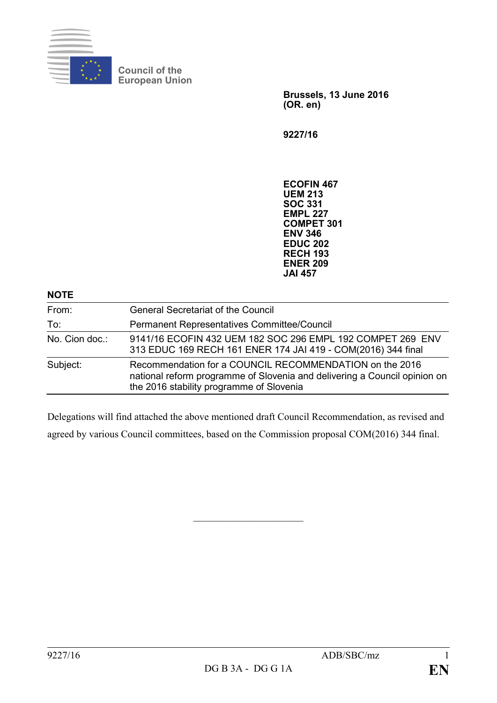

**Council of the European Union**

> **Brussels, 13 June 2016 (OR. en)**

**9227/16**

**ECOFIN 467 UEM 213 SOC 331 EMPL 227 COMPET 301 ENV 346 EDUC 202 RECH 193 ENER 209 JAI 457**

| <b>NOTE</b>    |                                                                                                                                                                                  |
|----------------|----------------------------------------------------------------------------------------------------------------------------------------------------------------------------------|
| From:          | <b>General Secretariat of the Council</b>                                                                                                                                        |
| To:            | Permanent Representatives Committee/Council                                                                                                                                      |
| No. Cion doc.: | 9141/16 ECOFIN 432 UEM 182 SOC 296 EMPL 192 COMPET 269 ENV<br>313 EDUC 169 RECH 161 ENER 174 JAI 419 - COM(2016) 344 final                                                       |
| Subject:       | Recommendation for a COUNCIL RECOMMENDATION on the 2016<br>national reform programme of Slovenia and delivering a Council opinion on<br>the 2016 stability programme of Slovenia |

Delegations will find attached the above mentioned draft Council Recommendation, as revised and agreed by various Council committees, based on the Commission proposal COM(2016) 344 final.

 $\overline{\phantom{a}}$  , which is a set of the set of the set of the set of the set of the set of the set of the set of the set of the set of the set of the set of the set of the set of the set of the set of the set of the set of th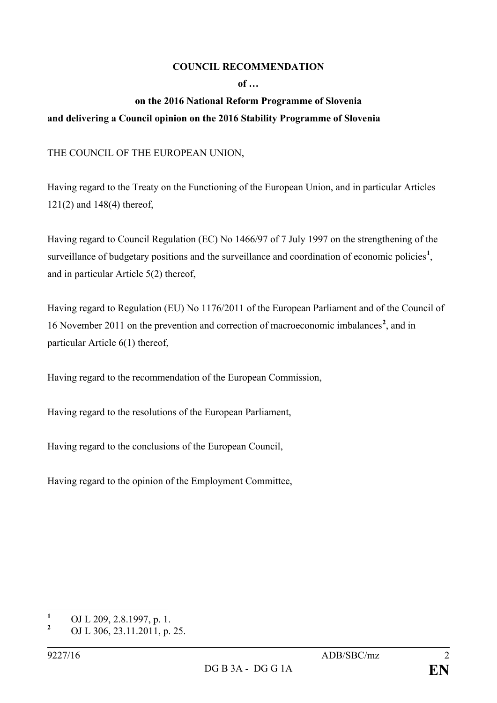## **COUNCIL RECOMMENDATION**

**of …**

## **on the 2016 National Reform Programme of Slovenia and delivering a Council opinion on the 2016 Stability Programme of Slovenia**

THE COUNCIL OF THE EUROPEAN UNION,

Having regard to the Treaty on the Functioning of the European Union, and in particular Articles 121(2) and 148(4) thereof,

Having regard to Council Regulation (EC) No 1466/97 of 7 July 1997 on the strengthening of the surveillance of budgetary positions and the surveillance and coordination of economic policies<sup>[1](#page-1-0)</sup>, and in particular Article 5(2) thereof,

Having regard to Regulation (EU) No 1176/2011 of the European Parliament and of the Council of 16 November 2011 on the prevention and correction of macroeconomic imbalances**[2](#page-1-1)** , and in particular Article 6(1) thereof,

Having regard to the recommendation of the European Commission,

Having regard to the resolutions of the European Parliament,

Having regard to the conclusions of the European Council,

Having regard to the opinion of the Employment Committee,

<span id="page-1-0"></span>**<sup>1</sup>** OJ L 209, 2.8.1997, p. 1.

<span id="page-1-1"></span>**<sup>2</sup>** OJ L 306, 23.11.2011, p. 25.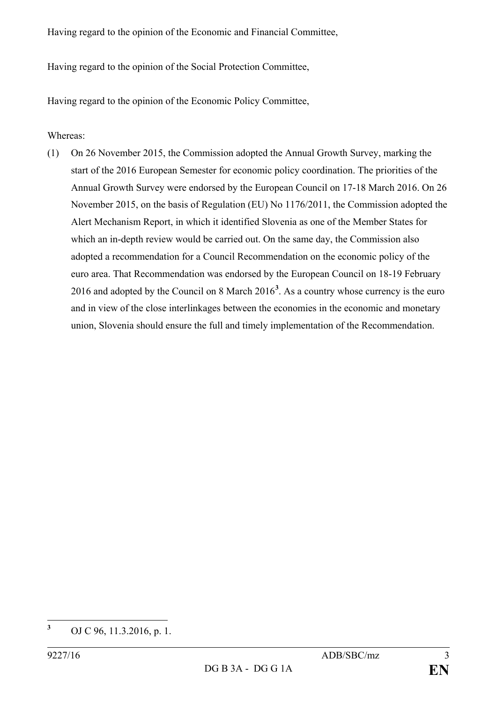Having regard to the opinion of the Economic and Financial Committee,

Having regard to the opinion of the Social Protection Committee,

Having regard to the opinion of the Economic Policy Committee,

Whereas:

(1) On 26 November 2015, the Commission adopted the Annual Growth Survey, marking the start of the 2016 European Semester for economic policy coordination. The priorities of the Annual Growth Survey were endorsed by the European Council on 17-18 March 2016. On 26 November 2015, on the basis of Regulation (EU) No 1176/2011, the Commission adopted the Alert Mechanism Report, in which it identified Slovenia as one of the Member States for which an in-depth review would be carried out. On the same day, the Commission also adopted a recommendation for a Council Recommendation on the economic policy of the euro area. That Recommendation was endorsed by the European Council on 18-19 February 2016 and adopted by the Council on 8 March 2016**[3](#page-2-0)** . As a country whose currency is the euro and in view of the close interlinkages between the economies in the economic and monetary union, Slovenia should ensure the full and timely implementation of the Recommendation.

<span id="page-2-0"></span>**<sup>3</sup>** OJ C 96, 11.3.2016, p. 1.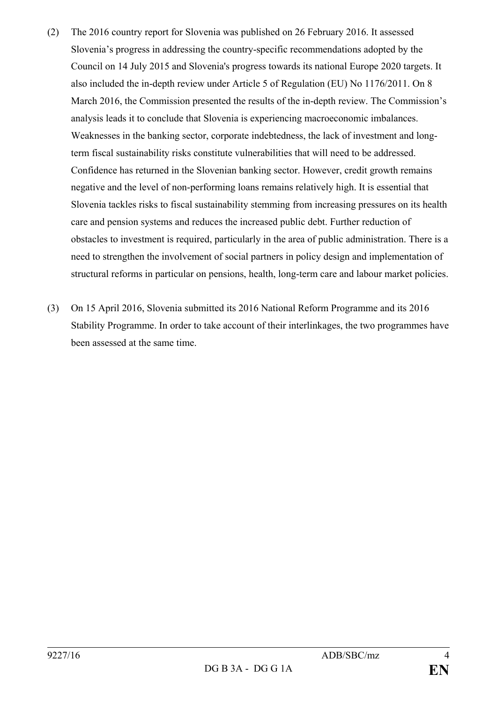- (2) The 2016 country report for Slovenia was published on 26 February 2016. It assessed Slovenia's progress in addressing the country-specific recommendations adopted by the Council on 14 July 2015 and Slovenia's progress towards its national Europe 2020 targets. It also included the in-depth review under Article 5 of Regulation (EU) No 1176/2011. On 8 March 2016, the Commission presented the results of the in-depth review. The Commission's analysis leads it to conclude that Slovenia is experiencing macroeconomic imbalances. Weaknesses in the banking sector, corporate indebtedness, the lack of investment and longterm fiscal sustainability risks constitute vulnerabilities that will need to be addressed. Confidence has returned in the Slovenian banking sector. However, credit growth remains negative and the level of non-performing loans remains relatively high. It is essential that Slovenia tackles risks to fiscal sustainability stemming from increasing pressures on its health care and pension systems and reduces the increased public debt. Further reduction of obstacles to investment is required, particularly in the area of public administration. There is a need to strengthen the involvement of social partners in policy design and implementation of structural reforms in particular on pensions, health, long-term care and labour market policies.
- (3) On 15 April 2016, Slovenia submitted its 2016 National Reform Programme and its 2016 Stability Programme. In order to take account of their interlinkages, the two programmes have been assessed at the same time.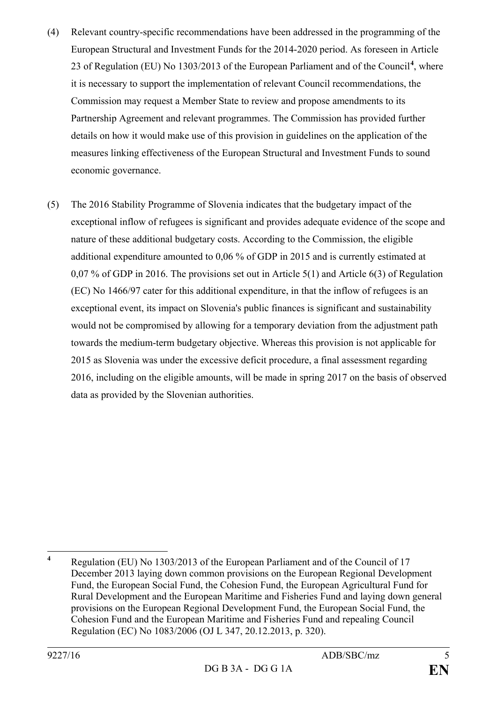- (4) Relevant country-specific recommendations have been addressed in the programming of the European Structural and Investment Funds for the 2014-2020 period. As foreseen in Article 23 of Regulation (EU) No 1303/2013 of the European Parliament and of the Council**[4](#page-4-0)** , where it is necessary to support the implementation of relevant Council recommendations, the Commission may request a Member State to review and propose amendments to its Partnership Agreement and relevant programmes. The Commission has provided further details on how it would make use of this provision in guidelines on the application of the measures linking effectiveness of the European Structural and Investment Funds to sound economic governance.
- (5) The 2016 Stability Programme of Slovenia indicates that the budgetary impact of the exceptional inflow of refugees is significant and provides adequate evidence of the scope and nature of these additional budgetary costs. According to the Commission, the eligible additional expenditure amounted to 0,06 % of GDP in 2015 and is currently estimated at 0,07 % of GDP in 2016. The provisions set out in Article 5(1) and Article 6(3) of Regulation (EC) No 1466/97 cater for this additional expenditure, in that the inflow of refugees is an exceptional event, its impact on Slovenia's public finances is significant and sustainability would not be compromised by allowing for a temporary deviation from the adjustment path towards the medium-term budgetary objective. Whereas this provision is not applicable for 2015 as Slovenia was under the excessive deficit procedure, a final assessment regarding 2016, including on the eligible amounts, will be made in spring 2017 on the basis of observed data as provided by the Slovenian authorities.

<span id="page-4-0"></span>**<sup>4</sup>** Regulation (EU) No 1303/2013 of the European Parliament and of the Council of 17 December 2013 laying down common provisions on the European Regional Development Fund, the European Social Fund, the Cohesion Fund, the European Agricultural Fund for Rural Development and the European Maritime and Fisheries Fund and laying down general provisions on the European Regional Development Fund, the European Social Fund, the Cohesion Fund and the European Maritime and Fisheries Fund and repealing Council Regulation (EC) No 1083/2006 (OJ L 347, 20.12.2013, p. 320).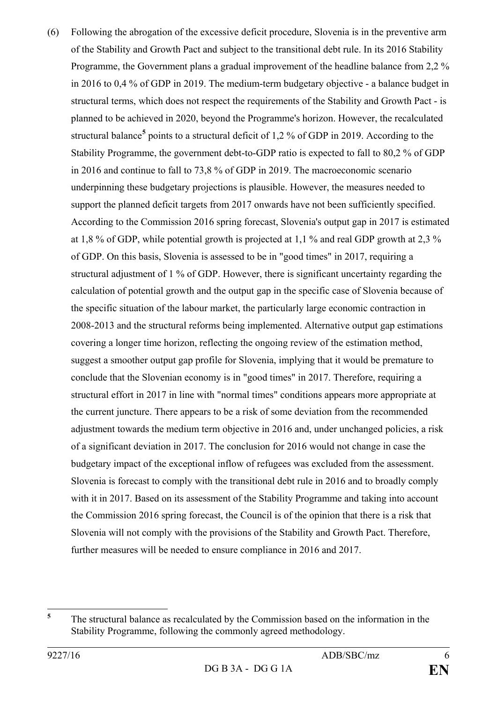(6) Following the abrogation of the excessive deficit procedure, Slovenia is in the preventive arm of the Stability and Growth Pact and subject to the transitional debt rule. In its 2016 Stability Programme, the Government plans a gradual improvement of the headline balance from 2,2 % in 2016 to 0,4 % of GDP in 2019. The medium-term budgetary objective - a balance budget in structural terms, which does not respect the requirements of the Stability and Growth Pact - is planned to be achieved in 2020, beyond the Programme's horizon. However, the recalculated structural balance**[5](#page-5-0)** points to a structural deficit of 1,2 % of GDP in 2019. According to the Stability Programme, the government debt-to-GDP ratio is expected to fall to 80,2 % of GDP in 2016 and continue to fall to 73,8 % of GDP in 2019. The macroeconomic scenario underpinning these budgetary projections is plausible. However, the measures needed to support the planned deficit targets from 2017 onwards have not been sufficiently specified. According to the Commission 2016 spring forecast, Slovenia's output gap in 2017 is estimated at 1,8 % of GDP, while potential growth is projected at 1,1 % and real GDP growth at 2,3 % of GDP. On this basis, Slovenia is assessed to be in "good times" in 2017, requiring a structural adjustment of 1 % of GDP. However, there is significant uncertainty regarding the calculation of potential growth and the output gap in the specific case of Slovenia because of the specific situation of the labour market, the particularly large economic contraction in 2008-2013 and the structural reforms being implemented. Alternative output gap estimations covering a longer time horizon, reflecting the ongoing review of the estimation method, suggest a smoother output gap profile for Slovenia, implying that it would be premature to conclude that the Slovenian economy is in "good times" in 2017. Therefore, requiring a structural effort in 2017 in line with "normal times" conditions appears more appropriate at the current juncture. There appears to be a risk of some deviation from the recommended adjustment towards the medium term objective in 2016 and, under unchanged policies, a risk of a significant deviation in 2017. The conclusion for 2016 would not change in case the budgetary impact of the exceptional inflow of refugees was excluded from the assessment. Slovenia is forecast to comply with the transitional debt rule in 2016 and to broadly comply with it in 2017. Based on its assessment of the Stability Programme and taking into account the Commission 2016 spring forecast, the Council is of the opinion that there is a risk that Slovenia will not comply with the provisions of the Stability and Growth Pact. Therefore, further measures will be needed to ensure compliance in 2016 and 2017.

<span id="page-5-0"></span>**<sup>5</sup>** The structural balance as recalculated by the Commission based on the information in the Stability Programme, following the commonly agreed methodology.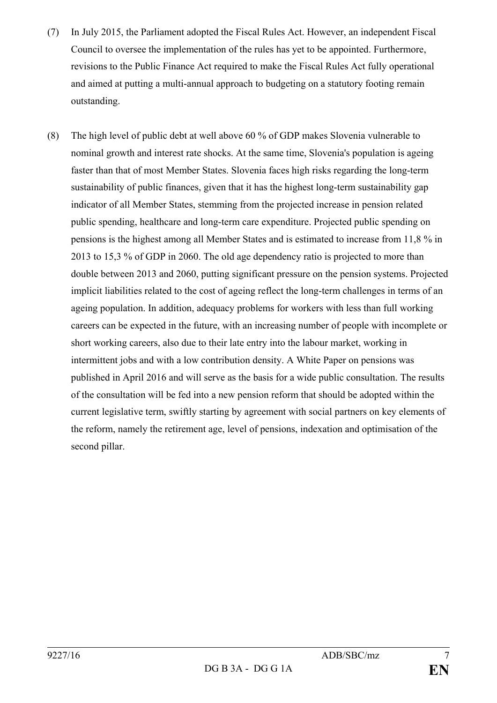- (7) In July 2015, the Parliament adopted the Fiscal Rules Act. However, an independent Fiscal Council to oversee the implementation of the rules has yet to be appointed. Furthermore, revisions to the Public Finance Act required to make the Fiscal Rules Act fully operational and aimed at putting a multi-annual approach to budgeting on a statutory footing remain outstanding.
- (8) The high level of public debt at well above 60 % of GDP makes Slovenia vulnerable to nominal growth and interest rate shocks. At the same time, Slovenia's population is ageing faster than that of most Member States. Slovenia faces high risks regarding the long-term sustainability of public finances, given that it has the highest long-term sustainability gap indicator of all Member States, stemming from the projected increase in pension related public spending, healthcare and long-term care expenditure. Projected public spending on pensions is the highest among all Member States and is estimated to increase from 11,8 % in 2013 to 15,3 % of GDP in 2060. The old age dependency ratio is projected to more than double between 2013 and 2060, putting significant pressure on the pension systems. Projected implicit liabilities related to the cost of ageing reflect the long-term challenges in terms of an ageing population. In addition, adequacy problems for workers with less than full working careers can be expected in the future, with an increasing number of people with incomplete or short working careers, also due to their late entry into the labour market, working in intermittent jobs and with a low contribution density. A White Paper on pensions was published in April 2016 and will serve as the basis for a wide public consultation. The results of the consultation will be fed into a new pension reform that should be adopted within the current legislative term, swiftly starting by agreement with social partners on key elements of the reform, namely the retirement age, level of pensions, indexation and optimisation of the second pillar.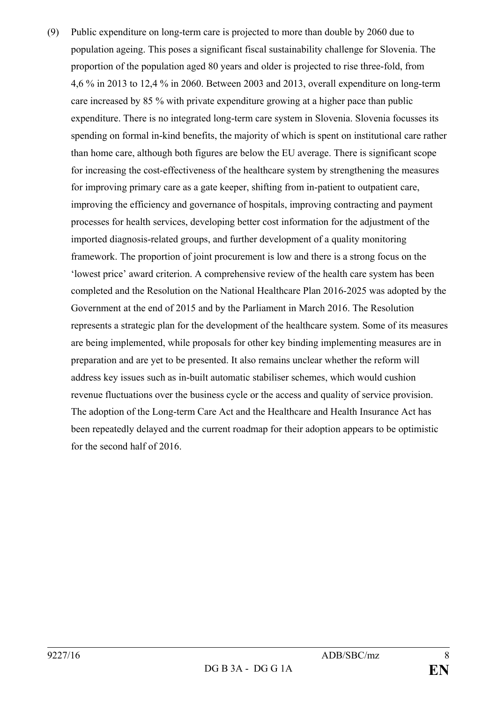(9) Public expenditure on long-term care is projected to more than double by 2060 due to population ageing. This poses a significant fiscal sustainability challenge for Slovenia. The proportion of the population aged 80 years and older is projected to rise three-fold, from 4,6 % in 2013 to 12,4 % in 2060. Between 2003 and 2013, overall expenditure on long-term care increased by 85 % with private expenditure growing at a higher pace than public expenditure. There is no integrated long-term care system in Slovenia. Slovenia focusses its spending on formal in-kind benefits, the majority of which is spent on institutional care rather than home care, although both figures are below the EU average. There is significant scope for increasing the cost-effectiveness of the healthcare system by strengthening the measures for improving primary care as a gate keeper, shifting from in-patient to outpatient care, improving the efficiency and governance of hospitals, improving contracting and payment processes for health services, developing better cost information for the adjustment of the imported diagnosis-related groups, and further development of a quality monitoring framework. The proportion of joint procurement is low and there is a strong focus on the 'lowest price' award criterion. A comprehensive review of the health care system has been completed and the Resolution on the National Healthcare Plan 2016-2025 was adopted by the Government at the end of 2015 and by the Parliament in March 2016. The Resolution represents a strategic plan for the development of the healthcare system. Some of its measures are being implemented, while proposals for other key binding implementing measures are in preparation and are yet to be presented. It also remains unclear whether the reform will address key issues such as in-built automatic stabiliser schemes, which would cushion revenue fluctuations over the business cycle or the access and quality of service provision. The adoption of the Long-term Care Act and the Healthcare and Health Insurance Act has been repeatedly delayed and the current roadmap for their adoption appears to be optimistic for the second half of 2016.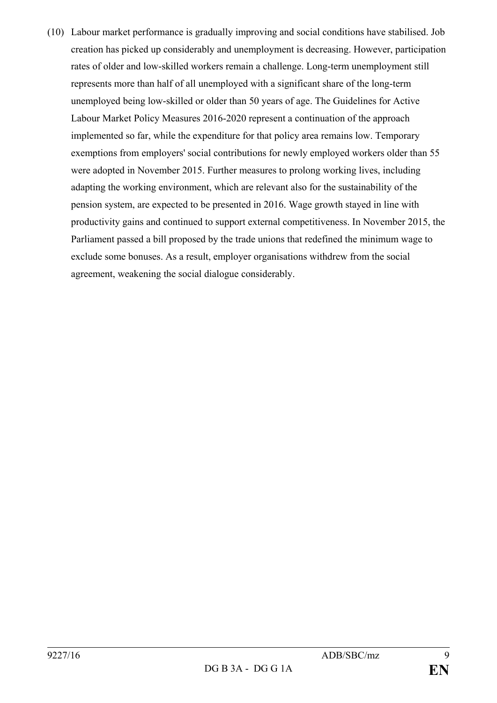(10) Labour market performance is gradually improving and social conditions have stabilised. Job creation has picked up considerably and unemployment is decreasing. However, participation rates of older and low-skilled workers remain a challenge. Long-term unemployment still represents more than half of all unemployed with a significant share of the long-term unemployed being low-skilled or older than 50 years of age. The Guidelines for Active Labour Market Policy Measures 2016-2020 represent a continuation of the approach implemented so far, while the expenditure for that policy area remains low. Temporary exemptions from employers' social contributions for newly employed workers older than 55 were adopted in November 2015. Further measures to prolong working lives, including adapting the working environment, which are relevant also for the sustainability of the pension system, are expected to be presented in 2016. Wage growth stayed in line with productivity gains and continued to support external competitiveness. In November 2015, the Parliament passed a bill proposed by the trade unions that redefined the minimum wage to exclude some bonuses. As a result, employer organisations withdrew from the social agreement, weakening the social dialogue considerably.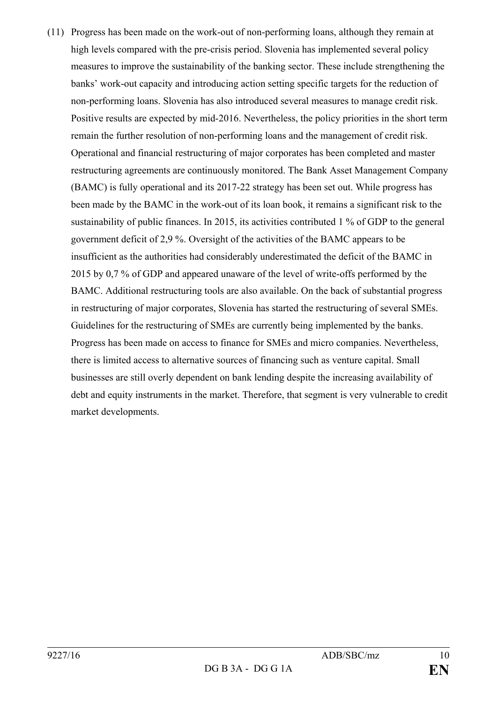(11) Progress has been made on the work-out of non-performing loans, although they remain at high levels compared with the pre-crisis period. Slovenia has implemented several policy measures to improve the sustainability of the banking sector. These include strengthening the banks' work-out capacity and introducing action setting specific targets for the reduction of non-performing loans. Slovenia has also introduced several measures to manage credit risk. Positive results are expected by mid-2016. Nevertheless, the policy priorities in the short term remain the further resolution of non-performing loans and the management of credit risk. Operational and financial restructuring of major corporates has been completed and master restructuring agreements are continuously monitored. The Bank Asset Management Company (BAMC) is fully operational and its 2017-22 strategy has been set out. While progress has been made by the BAMC in the work-out of its loan book, it remains a significant risk to the sustainability of public finances. In 2015, its activities contributed 1 % of GDP to the general government deficit of 2,9 %. Oversight of the activities of the BAMC appears to be insufficient as the authorities had considerably underestimated the deficit of the BAMC in 2015 by 0,7 % of GDP and appeared unaware of the level of write-offs performed by the BAMC. Additional restructuring tools are also available. On the back of substantial progress in restructuring of major corporates, Slovenia has started the restructuring of several SMEs. Guidelines for the restructuring of SMEs are currently being implemented by the banks. Progress has been made on access to finance for SMEs and micro companies. Nevertheless, there is limited access to alternative sources of financing such as venture capital. Small businesses are still overly dependent on bank lending despite the increasing availability of debt and equity instruments in the market. Therefore, that segment is very vulnerable to credit market developments.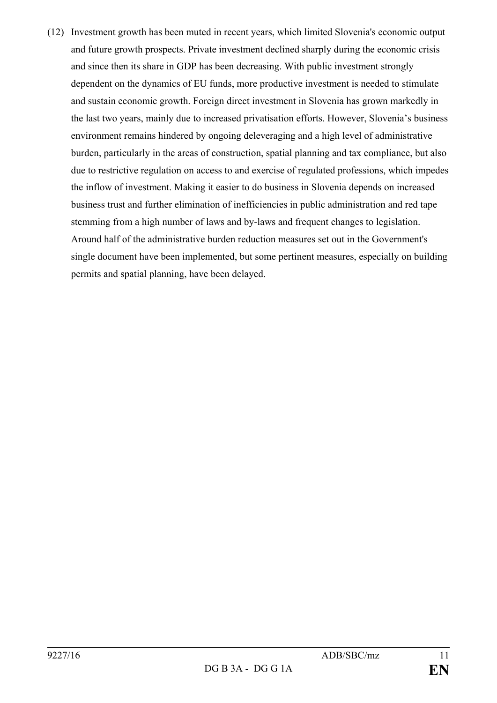(12) Investment growth has been muted in recent years, which limited Slovenia's economic output and future growth prospects. Private investment declined sharply during the economic crisis and since then its share in GDP has been decreasing. With public investment strongly dependent on the dynamics of EU funds, more productive investment is needed to stimulate and sustain economic growth. Foreign direct investment in Slovenia has grown markedly in the last two years, mainly due to increased privatisation efforts. However, Slovenia's business environment remains hindered by ongoing deleveraging and a high level of administrative burden, particularly in the areas of construction, spatial planning and tax compliance, but also due to restrictive regulation on access to and exercise of regulated professions, which impedes the inflow of investment. Making it easier to do business in Slovenia depends on increased business trust and further elimination of inefficiencies in public administration and red tape stemming from a high number of laws and by-laws and frequent changes to legislation. Around half of the administrative burden reduction measures set out in the Government's single document have been implemented, but some pertinent measures, especially on building permits and spatial planning, have been delayed.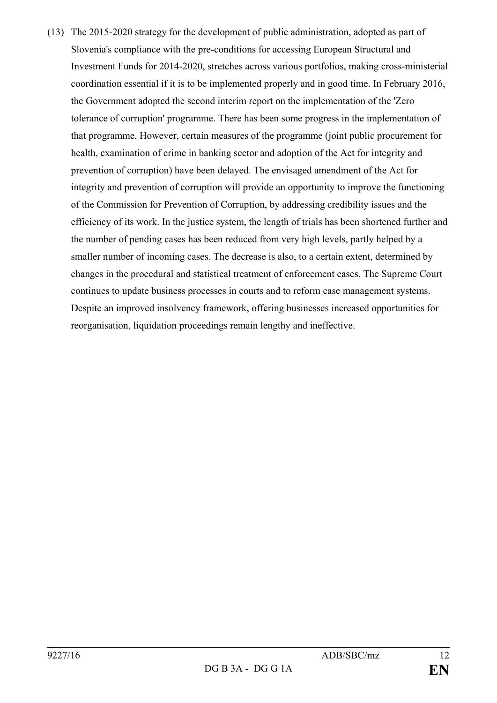(13) The 2015-2020 strategy for the development of public administration, adopted as part of Slovenia's compliance with the pre-conditions for accessing European Structural and Investment Funds for 2014-2020, stretches across various portfolios, making cross-ministerial coordination essential if it is to be implemented properly and in good time. In February 2016, the Government adopted the second interim report on the implementation of the 'Zero tolerance of corruption' programme. There has been some progress in the implementation of that programme. However, certain measures of the programme (joint public procurement for health, examination of crime in banking sector and adoption of the Act for integrity and prevention of corruption) have been delayed. The envisaged amendment of the Act for integrity and prevention of corruption will provide an opportunity to improve the functioning of the Commission for Prevention of Corruption, by addressing credibility issues and the efficiency of its work. In the justice system, the length of trials has been shortened further and the number of pending cases has been reduced from very high levels, partly helped by a smaller number of incoming cases. The decrease is also, to a certain extent, determined by changes in the procedural and statistical treatment of enforcement cases. The Supreme Court continues to update business processes in courts and to reform case management systems. Despite an improved insolvency framework, offering businesses increased opportunities for reorganisation, liquidation proceedings remain lengthy and ineffective.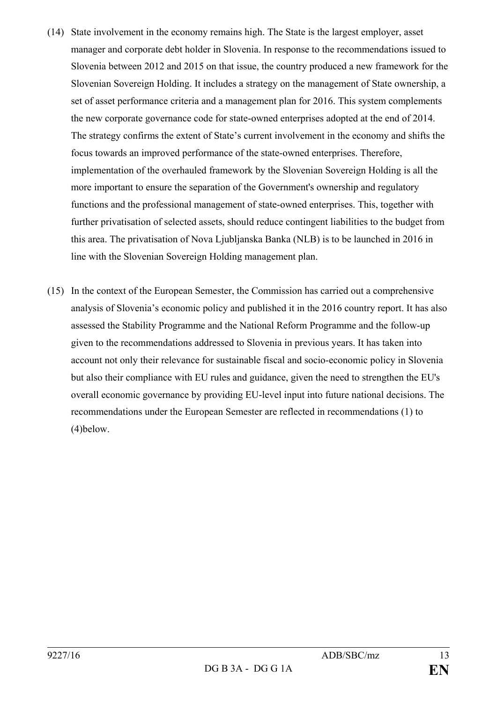- (14) State involvement in the economy remains high. The State is the largest employer, asset manager and corporate debt holder in Slovenia. In response to the recommendations issued to Slovenia between 2012 and 2015 on that issue, the country produced a new framework for the Slovenian Sovereign Holding. It includes a strategy on the management of State ownership, a set of asset performance criteria and a management plan for 2016. This system complements the new corporate governance code for state-owned enterprises adopted at the end of 2014. The strategy confirms the extent of State's current involvement in the economy and shifts the focus towards an improved performance of the state-owned enterprises. Therefore, implementation of the overhauled framework by the Slovenian Sovereign Holding is all the more important to ensure the separation of the Government's ownership and regulatory functions and the professional management of state-owned enterprises. This, together with further privatisation of selected assets, should reduce contingent liabilities to the budget from this area. The privatisation of Nova Ljubljanska Banka (NLB) is to be launched in 2016 in line with the Slovenian Sovereign Holding management plan.
- (15) In the context of the European Semester, the Commission has carried out a comprehensive analysis of Slovenia's economic policy and published it in the 2016 country report. It has also assessed the Stability Programme and the National Reform Programme and the follow-up given to the recommendations addressed to Slovenia in previous years. It has taken into account not only their relevance for sustainable fiscal and socio-economic policy in Slovenia but also their compliance with EU rules and guidance, given the need to strengthen the EU's overall economic governance by providing EU-level input into future national decisions. The recommendations under the European Semester are reflected in recommendations (1) to (4)below.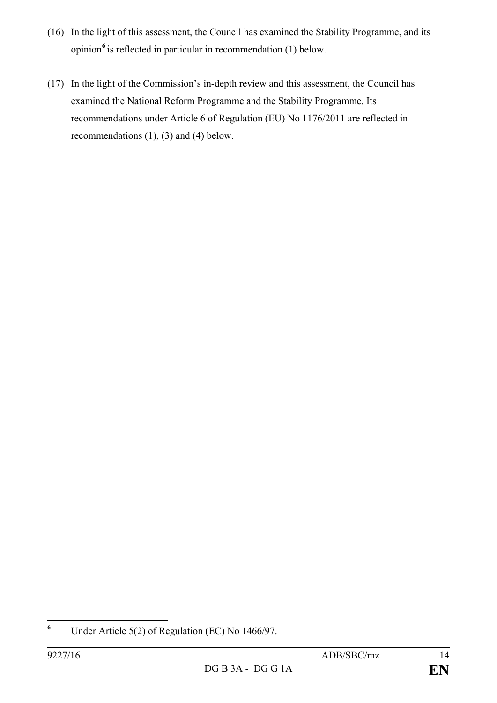- (16) In the light of this assessment, the Council has examined the Stability Programme, and its opinion**[6](#page-13-0)** is reflected in particular in recommendation (1) below.
- (17) In the light of the Commission's in-depth review and this assessment, the Council has examined the National Reform Programme and the Stability Programme. Its recommendations under Article 6 of Regulation (EU) No 1176/2011 are reflected in recommendations (1), (3) and (4) below.

<span id="page-13-0"></span>**<sup>6</sup>** Under Article 5(2) of Regulation (EC) No 1466/97.